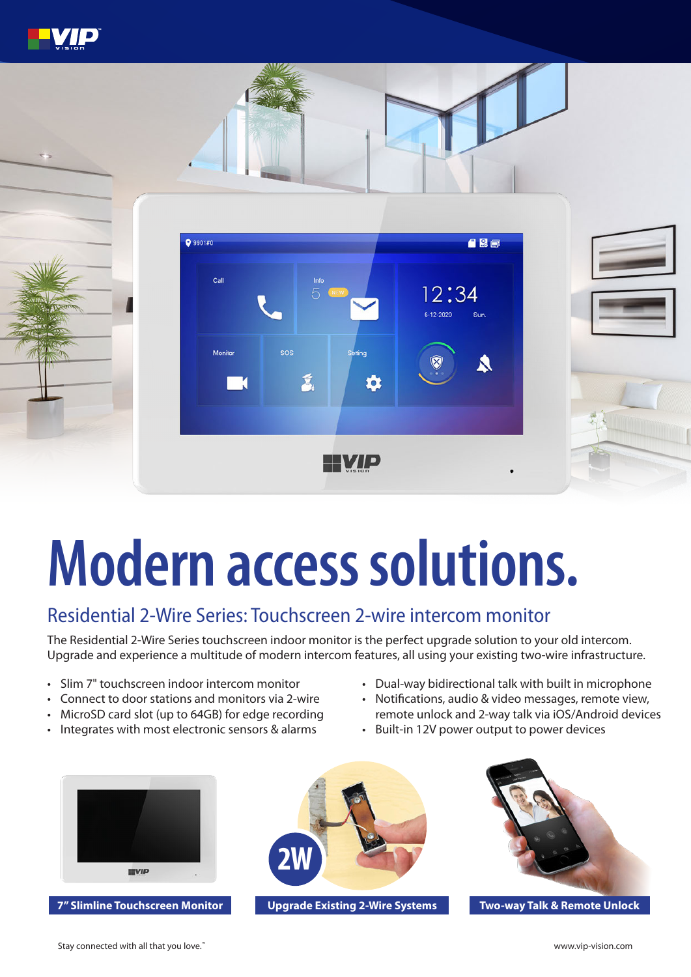

# **Modern access solutions.**

### Residential 2-Wire Series: Touchscreen 2-wire intercom monitor

The Residential 2-Wire Series touchscreen indoor monitor is the perfect upgrade solution to your old intercom. Upgrade and experience a multitude of modern intercom features, all using your existing two-wire infrastructure.

- Slim 7" touchscreen indoor intercom monitor
- Connect to door stations and monitors via 2-wire
- MicroSD card slot (up to 64GB) for edge recording
- Integrates with most electronic sensors & alarms
- Dual-way bidirectional talk with built in microphone
- Notifications, audio & video messages, remote view, remote unlock and 2-way talk via iOS/Android devices
- Built-in 12V power output to power devices



**7" Slimline Touchscreen Monitor Upgrade Existing 2-Wire Systems Two-way Talk & Remote Unlock**